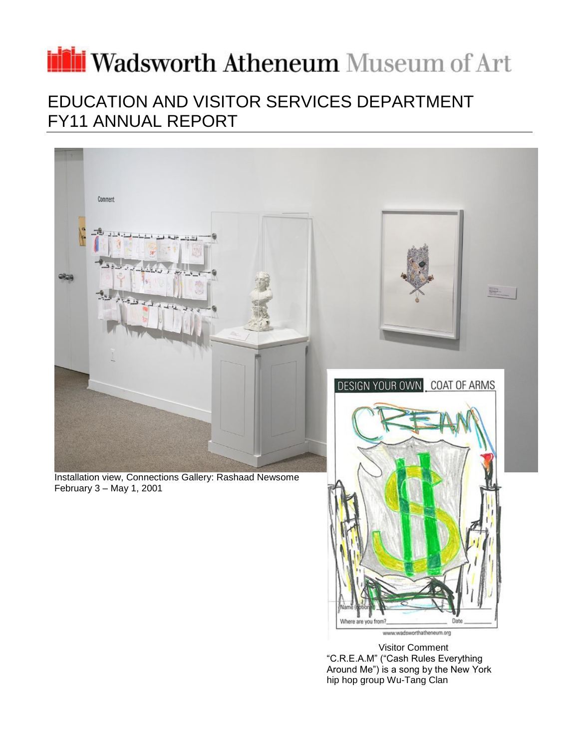# irii Wadsworth Atheneum Museum of Art

## EDUCATION AND VISITOR SERVICES DEPARTMENT FY11 ANNUAL REPORT



Visitor Comment "C.R.E.A.M" ("Cash Rules Everything Around Me") is a song by the New York hip hop group Wu-Tang Clan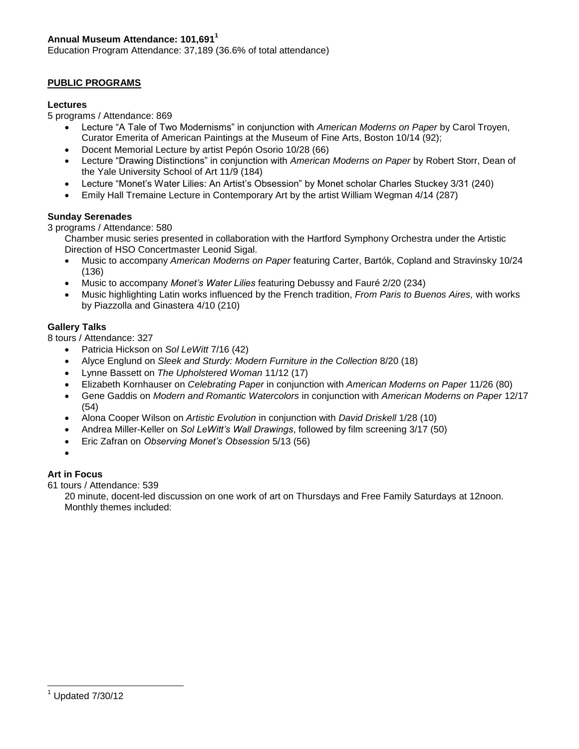## **Annual Museum Attendance: 101,691<sup>1</sup>**

Education Program Attendance: 37,189 (36.6% of total attendance)

## **PUBLIC PROGRAMS**

## **Lectures**

5 programs / Attendance: 869

- Lecture "A Tale of Two Modernisms" in conjunction with *American Moderns on Paper* by Carol Troyen, Curator Emerita of American Paintings at the Museum of Fine Arts, Boston 10/14 (92);
- Docent Memorial Lecture by artist Pepón Osorio 10/28 (66)
- Lecture "Drawing Distinctions" in conjunction with *American Moderns on Paper* by Robert Storr, Dean of the Yale University School of Art 11/9 (184)
- Lecture "Monet's Water Lilies: An Artist's Obsession" by Monet scholar Charles Stuckey 3/31 (240)
- Emily Hall Tremaine Lecture in Contemporary Art by the artist William Wegman 4/14 (287)

## **Sunday Serenades**

3 programs / Attendance: 580

Chamber music series presented in collaboration with the Hartford Symphony Orchestra under the Artistic Direction of HSO Concertmaster Leonid Sigal.

- Music to accompany *American Moderns on Paper* featuring Carter, Bartók, Copland and Stravinsky 10/24 (136)
- Music to accompany *Monet's Water Lilies* featuring Debussy and Fauré 2/20 (234)
- Music highlighting Latin works influenced by the French tradition, *From Paris to Buenos Aires,* with works by Piazzolla and Ginastera 4/10 (210)

## **Gallery Talks**

8 tours / Attendance: 327

- Patricia Hickson on *Sol LeWitt* 7/16 (42)
- Alyce Englund on *Sleek and Sturdy: Modern Furniture in the Collection* 8/20 (18)
- Lynne Bassett on *The Upholstered Woman* 11/12 (17)
- Elizabeth Kornhauser on *Celebrating Paper* in conjunction with *American Moderns on Paper* 11/26 (80)
- Gene Gaddis on *Modern and Romantic Watercolors* in conjunction with *American Moderns on Paper* 12/17 (54)
- Alona Cooper Wilson on *Artistic Evolution* in conjunction with *David Driskell* 1/28 (10)
- Andrea Miller-Keller on *Sol LeWitt's Wall Drawings*, followed by film screening 3/17 (50)
- Eric Zafran on *Observing Monet's Obsession* 5/13 (56)
- $\bullet$

## **Art in Focus**

61 tours / Attendance: 539

20 minute, docent-led discussion on one work of art on Thursdays and Free Family Saturdays at 12noon. Monthly themes included: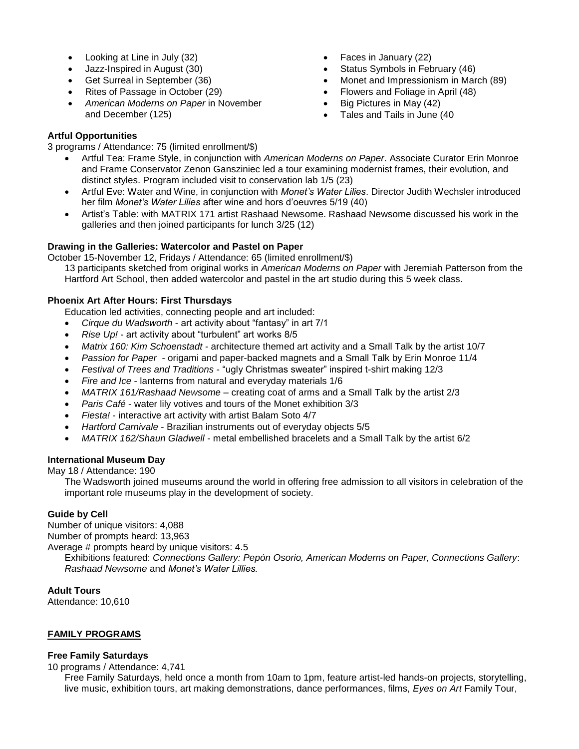- Looking at Line in July (32)
- Jazz-Inspired in August (30)
- Get Surreal in September (36)
- Rites of Passage in October (29)
- *American Moderns on Paper* in November and December (125)

## **Artful Opportunities**

- Faces in January (22)
- Status Symbols in February (46)
- Monet and Impressionism in March (89)
- Flowers and Foliage in April (48)
- $\bullet$  Big Pictures in May (42)
- Tales and Tails in June (40
- 3 programs / Attendance: 75 (limited enrollment/\$) Artful Tea: Frame Style, in conjunction with *American Moderns on Paper*. Associate Curator Erin Monroe and Frame Conservator Zenon Gansziniec led a tour examining modernist frames, their evolution, and
	- distinct styles. Program included visit to conservation lab 1/5 (23) Artful Eve: Water and Wine, in conjunction with *Monet's Water Lilies*. Director Judith Wechsler introduced her film *Monet's Water Lilies* after wine and hors d'oeuvres 5/19 (40)
	- Artist's Table: with MATRIX 171 artist Rashaad Newsome. Rashaad Newsome discussed his work in the galleries and then joined participants for lunch 3/25 (12)

## **Drawing in the Galleries: Watercolor and Pastel on Paper**

October 15-November 12, Fridays / Attendance: 65 (limited enrollment/\$)

13 participants sketched from original works in *American Moderns on Paper* with Jeremiah Patterson from the Hartford Art School, then added watercolor and pastel in the art studio during this 5 week class.

## **Phoenix Art After Hours: First Thursdays**

Education led activities, connecting people and art included:

- *Cirque du Wadsworth* art activity about "fantasy" in art 7/1
- *Rise Up!*  art activity about "turbulent" art works 8/5
- *Matrix 160: Kim Schoenstadt* architecture themed art activity and a Small Talk by the artist 10/7
- *Passion for Paper* origami and paper-backed magnets and a Small Talk by Erin Monroe 11/4
- *Festival of Trees and Traditions* "ugly Christmas sweater" inspired t-shirt making 12/3
- *Fire and Ice* lanterns from natural and everyday materials 1/6
- *MATRIX 161/Rashaad Newsome* creating coat of arms and a Small Talk by the artist 2/3
- *Paris Café* water lily votives and tours of the Monet exhibition 3/3
- *Fiesta!* interactive art activity with artist Balam Soto 4/7
- *Hartford Carnivale* Brazilian instruments out of everyday objects 5/5
- *MATRIX 162/Shaun Gladwell* metal embellished bracelets and a Small Talk by the artist 6/2

## **International Museum Day**

May 18 / Attendance: 190

The Wadsworth joined museums around the world in offering free admission to all visitors in celebration of the important role museums play in the development of society.

## **Guide by Cell**

Number of unique visitors: 4,088 Number of prompts heard: 13,963

Average # prompts heard by unique visitors: 4.5

Exhibitions featured: *Connections Gallery: Pepón Osorio, American Moderns on Paper, Connections Gallery*: *Rashaad Newsome* and *Monet's Water Lillies.*

## **Adult Tours**

Attendance: 10,610

## **FAMILY PROGRAMS**

## **Free Family Saturdays**

10 programs / Attendance: 4,741

Free Family Saturdays, held once a month from 10am to 1pm, feature artist-led hands-on projects, storytelling, live music, exhibition tours, art making demonstrations, dance performances, films, *Eyes on Art* Family Tour,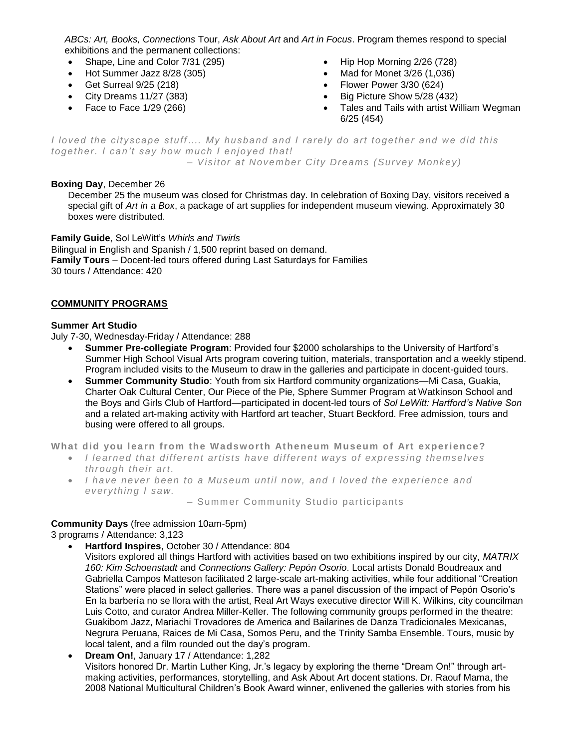*ABCs: Art, Books, Connections* Tour, *Ask About Art* and *Art in Focus*. Program themes respond to special exhibitions and the permanent collections:

- Shape, Line and Color 7/31 (295)
- Hot Summer Jazz 8/28 (305)
- Get Surreal 9/25 (218)
- City Dreams 11/27 (383)
- Face to Face 1/29 (266)
- $\bullet$  Hip Hop Morning 2/26 (728)
- Mad for Monet 3/26 (1,036)
- Flower Power 3/30 (624)
- Big Picture Show 5/28 (432)
- Tales and Tails with artist William Wegman 6/25 (454)

*I loved the cityscape stuff…. My husband and I rarely do art together and we did this together. I can't say how much I enjoyed that! – Visitor at November City Dreams (Survey Monkey)*

## **Boxing Day**, December 26

December 25 the museum was closed for Christmas day. In celebration of Boxing Day, visitors received a special gift of *Art in a Box*, a package of art supplies for independent museum viewing. Approximately 30 boxes were distributed.

**Family Guide**, Sol LeWitt's *Whirls and Twirls* Bilingual in English and Spanish / 1,500 reprint based on demand. **Family Tours** – Docent-led tours offered during Last Saturdays for Families 30 tours / Attendance: 420

## **COMMUNITY PROGRAMS**

## **Summer Art Studio**

July 7-30, Wednesday-Friday / Attendance: 288

- **Summer Pre-collegiate Program**: Provided four \$2000 scholarships to the University of Hartford's Summer High School Visual Arts program covering tuition, materials, transportation and a weekly stipend. Program included visits to the Museum to draw in the galleries and participate in docent-guided tours.
- **Summer Community Studio**: Youth from six Hartford community organizations—Mi Casa, Guakia, Charter Oak Cultural Center, Our Piece of the Pie, Sphere Summer Program at Watkinson School and the Boys and Girls Club of Hartford—participated in docent-led tours of *Sol LeWitt: Hartford's Native Son*  and a related art-making activity with Hartford art teacher, Stuart Beckford. Free admission, tours and busing were offered to all groups.

**What did you learn from the Wadsworth Atheneum M useum of Art experience?**

- *I learned that different artists have different ways of expressing themselves through their art.*
- *I have never been to a Museum until now, and I loved the experience and everything I saw.*

– Summ er Community Studio participants

## **Community Days** (free admission 10am-5pm)

3 programs / Attendance: 3,123

**Hartford Inspires**, October 30 / Attendance: 804

Visitors explored all things Hartford with activities based on two exhibitions inspired by our city, *MATRIX 160: Kim Schoenstadt* and *Connections Gallery: Pepón Osorio*. Local artists Donald Boudreaux and Gabriella Campos Matteson facilitated 2 large-scale art-making activities, while four additional "Creation Stations" were placed in select galleries. There was a panel discussion of the impact of Pepón Osorio's En la barbería no se llora with the artist, Real Art Ways executive director Will K. Wilkins, city councilman Luis Cotto, and curator Andrea Miller-Keller. The following community groups performed in the theatre: Guakibom Jazz, Mariachi Trovadores de America and Bailarines de Danza Tradicionales Mexicanas, Negrura Peruana, Raices de Mi Casa, Somos Peru, and the Trinity Samba Ensemble. Tours, music by local talent, and a film rounded out the day's program.

 **Dream On!**, January 17 / Attendance: 1,282 Visitors honored Dr. Martin Luther King, Jr.'s legacy by exploring the theme "Dream On!" through artmaking activities, performances, storytelling, and Ask About Art docent stations. Dr. Raouf Mama, the 2008 National Multicultural Children's Book Award winner, enlivened the galleries with stories from his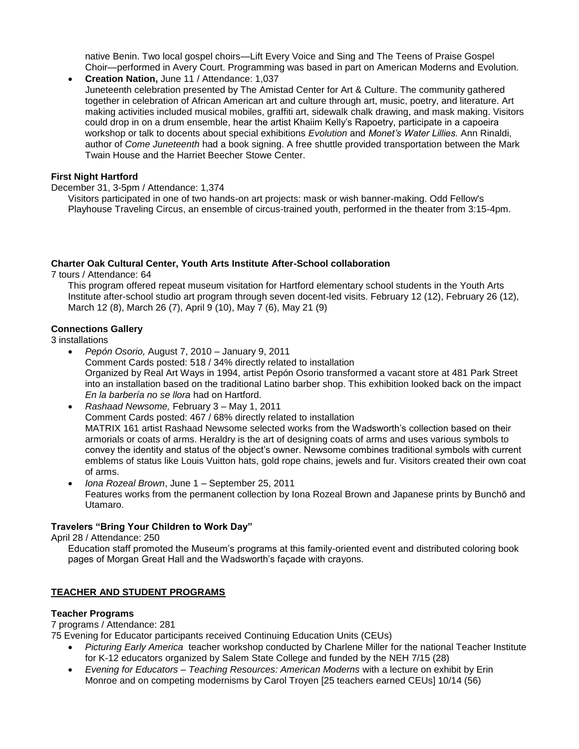native Benin. Two local gospel choirs—Lift Every Voice and Sing and The Teens of Praise Gospel Choir—performed in Avery Court. Programming was based in part on American Moderns and Evolution.

 **Creation Nation,** June 11 / Attendance: 1,037 Juneteenth celebration presented by The Amistad Center for Art & Culture. The community gathered together in celebration of African American art and culture through art, music, poetry, and literature. Art making activities included musical mobiles, graffiti art, sidewalk chalk drawing, and mask making. Visitors could drop in on a drum ensemble, hear the artist Khaiim Kelly's Rapoetry, participate in a capoeira workshop or talk to docents about special exhibitions *Evolution* and *Monet's Water Lillies.* Ann Rinaldi, author of *Come Juneteenth* had a book signing. A free shuttle provided transportation between the Mark Twain House and the Harriet Beecher Stowe Center.

## **First Night Hartford**

## December 31, 3-5pm / Attendance: 1,374

Visitors participated in one of two hands-on art projects: mask or wish banner-making. Odd Fellow's Playhouse Traveling Circus, an ensemble of circus-trained youth, performed in the theater from 3:15-4pm.

## **Charter Oak Cultural Center, Youth Arts Institute After-School collaboration**

7 tours / Attendance: 64

This program offered repeat museum visitation for Hartford elementary school students in the Youth Arts Institute after-school studio art program through seven docent-led visits. February 12 (12), February 26 (12), March 12 (8), March 26 (7), April 9 (10), May 7 (6), May 21 (9)

## **Connections Gallery**

3 installations

- *Pepón Osorio,* August 7, 2010 January 9, 2011 Comment Cards posted: 518 / 34% directly related to installation Organized by Real Art Ways in 1994, artist Pepón Osorio transformed a vacant store at 481 Park Street into an installation based on the traditional Latino barber shop. This exhibition looked back on the impact *En la barbería no se llora* had on Hartford.
- *Rashaad Newsome,* February 3 May 1, 2011 Comment Cards posted: 467 / 68% directly related to installation MATRIX 161 artist Rashaad Newsome selected works from the Wadsworth's collection based on their armorials or coats of arms. Heraldry is the art of designing coats of arms and uses various symbols to convey the identity and status of the object's owner. Newsome combines traditional symbols with current emblems of status like Louis Vuitton hats, gold rope chains, jewels and fur. Visitors created their own coat of arms.
- *Iona Rozeal Brown*, June 1 September 25, 2011 Features works from the permanent collection by Iona Rozeal Brown and Japanese prints by Bunchō and Utamaro.

## **Travelers "Bring Your Children to Work Day"**

April 28 / Attendance: 250

Education staff promoted the Museum's programs at this family-oriented event and distributed coloring book pages of Morgan Great Hall and the Wadsworth's façade with crayons.

## **TEACHER AND STUDENT PROGRAMS**

## **Teacher Programs**

7 programs / Attendance: 281

75 Evening for Educator participants received Continuing Education Units (CEUs)

- *Picturing Early America* teacher workshop conducted by Charlene Miller for the national Teacher Institute for K-12 educators organized by Salem State College and funded by the NEH 7/15 (28)
- *Evening for Educators – Teaching Resources: American Moderns* with a lecture on exhibit by Erin Monroe and on competing modernisms by Carol Troyen [25 teachers earned CEUs] 10/14 (56)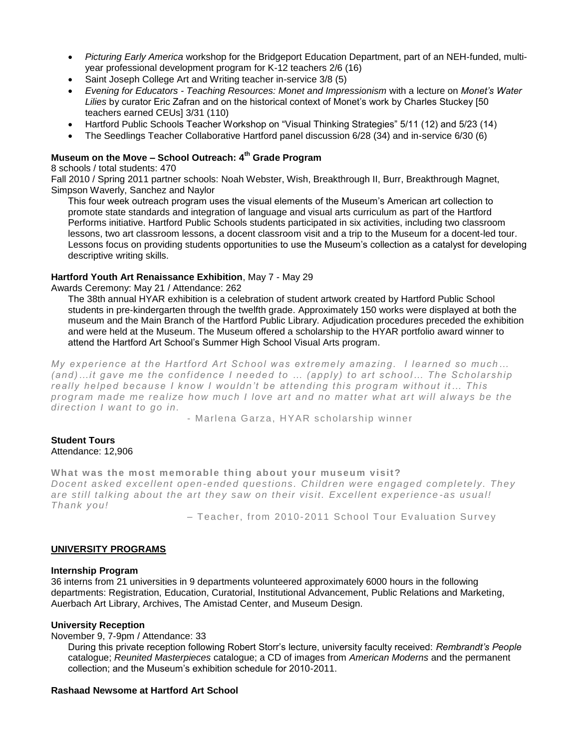- *Picturing Early America* workshop for the Bridgeport Education Department, part of an NEH-funded, multiyear professional development program for K-12 teachers 2/6 (16)
- Saint Joseph College Art and Writing teacher in-service 3/8 (5)
- *Evening for Educators - Teaching Resources: Monet and Impressionism* with a lecture on *Monet's Water Lilies* by curator Eric Zafran and on the historical context of Monet's work by Charles Stuckey [50 teachers earned CEUs] 3/31 (110)
- Hartford Public Schools Teacher Workshop on "Visual Thinking Strategies" 5/11 (12) and 5/23 (14)
- The Seedlings Teacher Collaborative Hartford panel discussion 6/28 (34) and in-service 6/30 (6)

## **Museum on the Move – School Outreach: 4th Grade Program**

8 schools / total students: 470

Fall 2010 / Spring 2011 partner schools: Noah Webster, Wish, Breakthrough II, Burr, Breakthrough Magnet, Simpson Waverly, Sanchez and Naylor

This four week outreach program uses the visual elements of the Museum's American art collection to promote state standards and integration of language and visual arts curriculum as part of the Hartford Performs initiative. Hartford Public Schools students participated in six activities, including two classroom lessons, two art classroom lessons, a docent classroom visit and a trip to the Museum for a docent-led tour. Lessons focus on providing students opportunities to use the Museum's collection as a catalyst for developing descriptive writing skills.

## **Hartford Youth Art Renaissance Exhibition**, May 7 - May 29

Awards Ceremony: May 21 / Attendance: 262

The 38th annual HYAR exhibition is a celebration of student artwork created by Hartford Public School students in pre-kindergarten through the twelfth grade. Approximately 150 works were displayed at both the museum and the Main Branch of the Hartford Public Library. Adjudication procedures preceded the exhibition and were held at the Museum. The Museum offered a scholarship to the HYAR portfolio award winner to attend the Hartford Art School's Summer High School Visual Arts program.

*My experience at the Hartford Art School was extremely amazing. I learned so much… (and)…it gave me the confidence I needed to … (apply) to art school… The Scholarship really helped because I know I wouldn't be attending this program without it… This program made me realize how much I love art and no matter what art will always be the direction I want to go in.*

- Marlena Garza, HYAR scholarship winner

## **Student Tours**  Attendance: 12,906

## What was the most memorable thing about your museum visit?

*Docent asked excellent open -ended questions. Children were engaged completely. They are still talking about the art they saw on their visit. Excellent experience -as usual! Thank you!* 

– Teacher, from 2010-2011 School Tour Evaluation Survey

## **UNIVERSITY PROGRAMS**

## **Internship Program**

36 interns from 21 universities in 9 departments volunteered approximately 6000 hours in the following departments: Registration, Education, Curatorial, Institutional Advancement, Public Relations and Marketing, Auerbach Art Library, Archives, The Amistad Center, and Museum Design.

## **University Reception**

November 9, 7-9pm / Attendance: 33

During this private reception following Robert Storr's lecture, university faculty received: *Rembrandt's People* catalogue; *Reunited Masterpieces* catalogue; a CD of images from *American Moderns* and the permanent collection; and the Museum's exhibition schedule for 2010-2011.

## **Rashaad Newsome at Hartford Art School**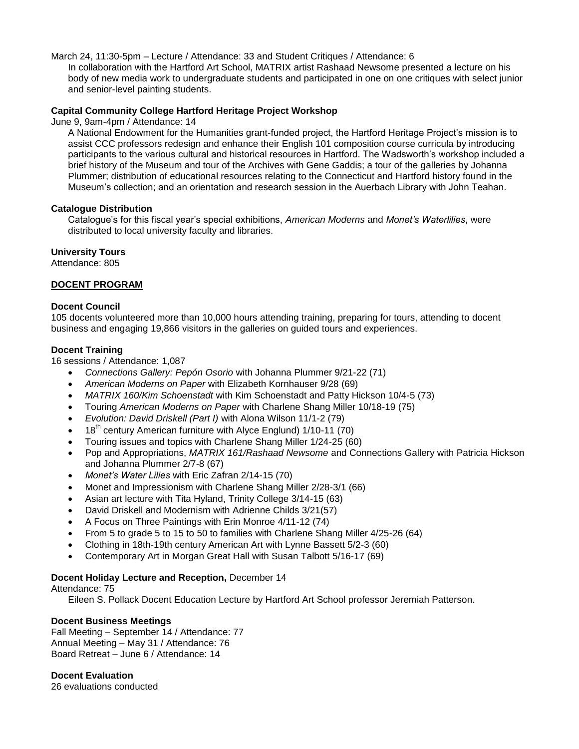March 24, 11:30-5pm – Lecture / Attendance: 33 and Student Critiques / Attendance: 6

In collaboration with the Hartford Art School, MATRIX artist Rashaad Newsome presented a lecture on his body of new media work to undergraduate students and participated in one on one critiques with select junior and senior-level painting students.

## **Capital Community College Hartford Heritage Project Workshop**

June 9, 9am-4pm / Attendance: 14

A National Endowment for the Humanities grant-funded project, the Hartford Heritage Project's mission is to assist CCC professors redesign and enhance their English 101 composition course curricula by introducing participants to the various cultural and historical resources in Hartford. The Wadsworth's workshop included a brief history of the Museum and tour of the Archives with Gene Gaddis; a tour of the galleries by Johanna Plummer; distribution of educational resources relating to the Connecticut and Hartford history found in the Museum's collection; and an orientation and research session in the Auerbach Library with John Teahan.

## **Catalogue Distribution**

Catalogue's for this fiscal year's special exhibitions, *American Moderns* and *Monet's Waterlilies*, were distributed to local university faculty and libraries.

## **University Tours**

Attendance: 805

## **DOCENT PROGRAM**

## **Docent Council**

105 docents volunteered more than 10,000 hours attending training, preparing for tours, attending to docent business and engaging 19,866 visitors in the galleries on guided tours and experiences.

## **Docent Training**

16 sessions / Attendance: 1,087

- *Connections Gallery: Pepón Osorio* with Johanna Plummer 9/21-22 (71)
- *American Moderns on Paper* with Elizabeth Kornhauser 9/28 (69)
- *MATRIX 160/Kim Schoenstadt* with Kim Schoenstadt and Patty Hickson 10/4-5 (73)
- Touring *American Moderns on Paper* with Charlene Shang Miller 10/18-19 (75)
- *Evolution: David Driskell (Part I)* with Alona Wilson 11/1-2 (79)
- 18<sup>th</sup> century American furniture with Alyce Englund) 1/10-11 (70)
- Touring issues and topics with Charlene Shang Miller 1/24-25 (60)
- Pop and Appropriations, *MATRIX 161/Rashaad Newsome* and Connections Gallery with Patricia Hickson and Johanna Plummer 2/7-8 (67)
- *Monet's Water Lilies* with Eric Zafran 2/14-15 (70)
- Monet and Impressionism with Charlene Shang Miller 2/28-3/1 (66)
- Asian art lecture with Tita Hyland, Trinity College 3/14-15 (63)
- David Driskell and Modernism with Adrienne Childs 3/21(57)
- A Focus on Three Paintings with Erin Monroe 4/11-12 (74)
- From 5 to grade 5 to 15 to 50 to families with Charlene Shang Miller 4/25-26 (64)
- Clothing in 18th-19th century American Art with Lynne Bassett 5/2-3 (60)
- Contemporary Art in Morgan Great Hall with Susan Talbott 5/16-17 (69)

## **Docent Holiday Lecture and Reception,** December 14

#### Attendance: 75

Eileen S. Pollack Docent Education Lecture by Hartford Art School professor Jeremiah Patterson.

## **Docent Business Meetings**

Fall Meeting – September 14 / Attendance: 77 Annual Meeting – May 31 / Attendance: 76 Board Retreat – June 6 / Attendance: 14

## **Docent Evaluation**

26 evaluations conducted